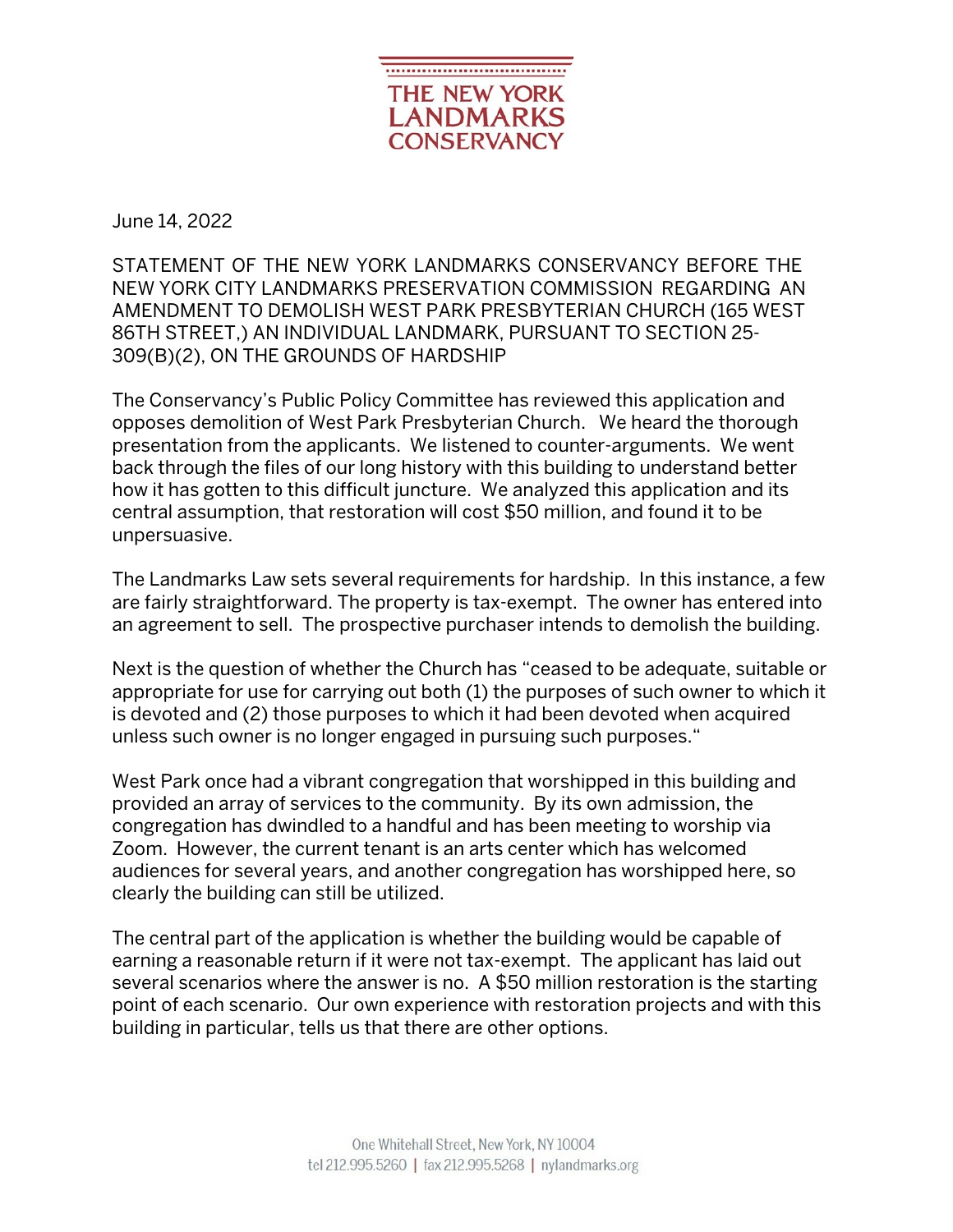

June 14, 2022

STATEMENT OF THE NEW YORK LANDMARKS CONSERVANCY BEFORE THE NEW YORK CITY LANDMARKS PRESERVATION COMMISSION REGARDING AN AMENDMENT TO DEMOLISH WEST PARK PRESBYTERIAN CHURCH (165 WEST 86TH STREET,) AN INDIVIDUAL LANDMARK, PURSUANT TO SECTION 25- 309(B)(2), ON THE GROUNDS OF HARDSHIP

The Conservancy's Public Policy Committee has reviewed this application and opposes demolition of West Park Presbyterian Church. We heard the thorough presentation from the applicants. We listened to counter-arguments. We went back through the files of our long history with this building to understand better how it has gotten to this difficult juncture. We analyzed this application and its central assumption, that restoration will cost \$50 million, and found it to be unpersuasive.

The Landmarks Law sets several requirements for hardship. In this instance, a few are fairly straightforward. The property is tax-exempt. The owner has entered into an agreement to sell. The prospective purchaser intends to demolish the building.

Next is the question of whether the Church has "ceased to be adequate, suitable or appropriate for use for carrying out both (1) the purposes of such owner to which it is devoted and (2) those purposes to which it had been devoted when acquired unless such owner is no longer engaged in pursuing such purposes."

West Park once had a vibrant congregation that worshipped in this building and provided an array of services to the community. By its own admission, the congregation has dwindled to a handful and has been meeting to worship via Zoom. However, the current tenant is an arts center which has welcomed audiences for several years, and another congregation has worshipped here, so clearly the building can still be utilized.

The central part of the application is whether the building would be capable of earning a reasonable return if it were not tax-exempt. The applicant has laid out several scenarios where the answer is no. A \$50 million restoration is the starting point of each scenario. Our own experience with restoration projects and with this building in particular, tells us that there are other options.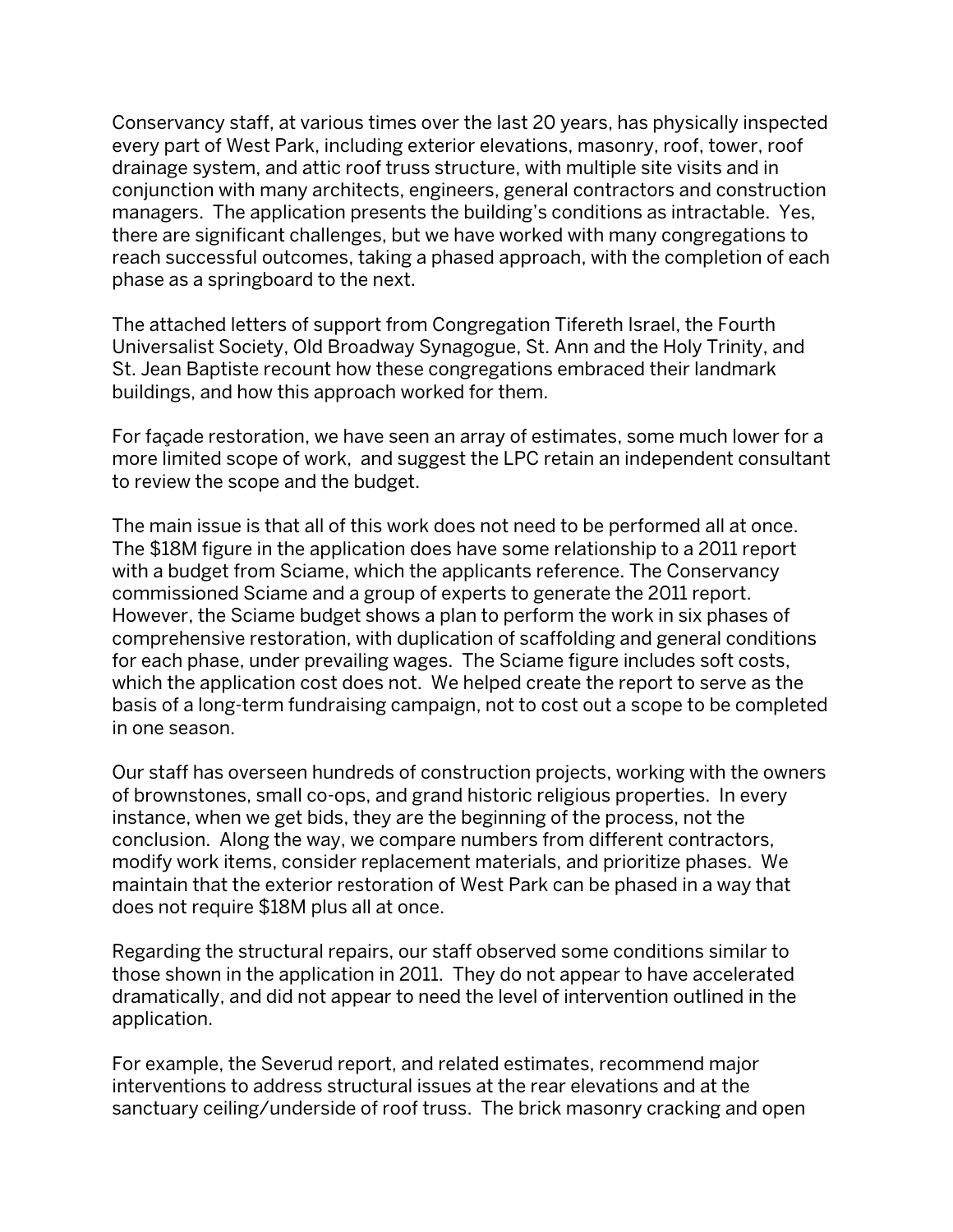Conservancy staff, at various times over the last 20 years, has physically inspected every part of West Park, including exterior elevations, masonry, roof, tower, roof drainage system, and attic roof truss structure, with multiple site visits and in conjunction with many architects, engineers, general contractors and construction managers. The application presents the building's conditions as intractable. Yes, there are significant challenges, but we have worked with many congregations to reach successful outcomes, taking a phased approach, with the completion of each phase as a springboard to the next.

The attached letters of support from Congregation Tifereth Israel, the Fourth Universalist Society, Old Broadway Synagogue, St. Ann and the Holy Trinity, and St. Jean Baptiste recount how these congregations embraced their landmark buildings, and how this approach worked for them.

For façade restoration, we have seen an array of estimates, some much lower for a more limited scope of work, and suggest the LPC retain an independent consultant to review the scope and the budget.

The main issue is that all of this work does not need to be performed all at once. The \$18M figure in the application does have some relationship to a 2011 report with a budget from Sciame, which the applicants reference. The Conservancy commissioned Sciame and a group of experts to generate the 2011 report. However, the Sciame budget shows a plan to perform the work in six phases of comprehensive restoration, with duplication of scaffolding and general conditions for each phase, under prevailing wages. The Sciame figure includes soft costs, which the application cost does not. We helped create the report to serve as the basis of a long-term fundraising campaign, not to cost out a scope to be completed in one season.

Our staff has overseen hundreds of construction projects, working with the owners of brownstones, small co-ops, and grand historic religious properties. In every instance, when we get bids, they are the beginning of the process, not the conclusion. Along the way, we compare numbers from different contractors, modify work items, consider replacement materials, and prioritize phases. We maintain that the exterior restoration of West Park can be phased in a way that does not require \$18M plus all at once.

Regarding the structural repairs, our staff observed some conditions similar to those shown in the application in 2011. They do not appear to have accelerated dramatically, and did not appear to need the level of intervention outlined in the application.

For example, the Severud report, and related estimates, recommend major interventions to address structural issues at the rear elevations and at the sanctuary ceiling/underside of roof truss. The brick masonry cracking and open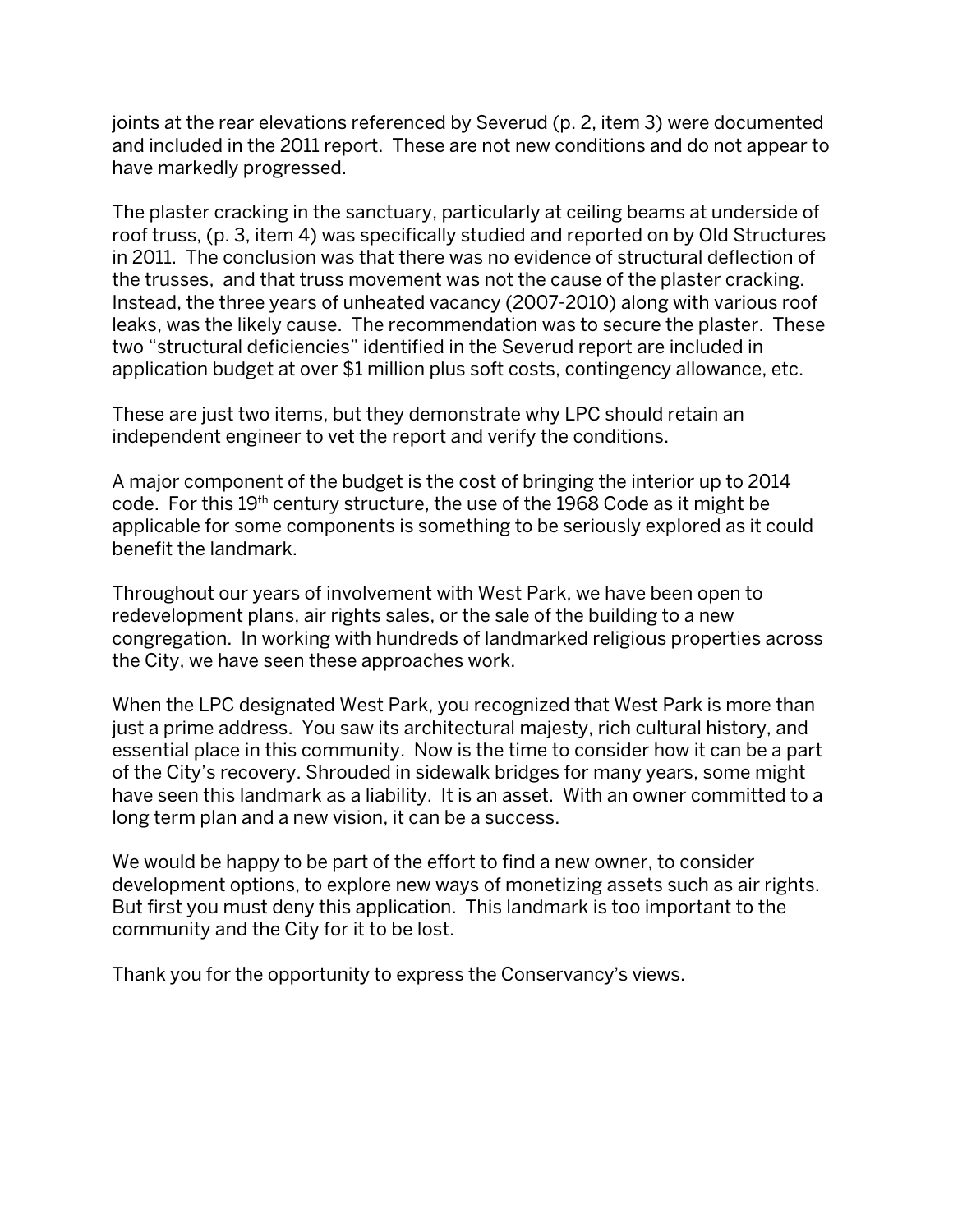joints at the rear elevations referenced by Severud (p. 2, item 3) were documented and included in the 2011 report. These are not new conditions and do not appear to have markedly progressed.

The plaster cracking in the sanctuary, particularly at ceiling beams at underside of roof truss, (p. 3, item 4) was specifically studied and reported on by Old Structures in 2011. The conclusion was that there was no evidence of structural deflection of the trusses, and that truss movement was not the cause of the plaster cracking. Instead, the three years of unheated vacancy (2007-2010) along with various roof leaks, was the likely cause. The recommendation was to secure the plaster. These two "structural deficiencies" identified in the Severud report are included in application budget at over \$1 million plus soft costs, contingency allowance, etc.

These are just two items, but they demonstrate why LPC should retain an independent engineer to vet the report and verify the conditions.

A major component of the budget is the cost of bringing the interior up to 2014 code. For this 19th century structure, the use of the 1968 Code as it might be applicable for some components is something to be seriously explored as it could benefit the landmark.

Throughout our years of involvement with West Park, we have been open to redevelopment plans, air rights sales, or the sale of the building to a new congregation. In working with hundreds of landmarked religious properties across the City, we have seen these approaches work.

When the LPC designated West Park, you recognized that West Park is more than just a prime address. You saw its architectural majesty, rich cultural history, and essential place in this community. Now is the time to consider how it can be a part of the City's recovery. Shrouded in sidewalk bridges for many years, some might have seen this landmark as a liability. It is an asset. With an owner committed to a long term plan and a new vision, it can be a success.

We would be happy to be part of the effort to find a new owner, to consider development options, to explore new ways of monetizing assets such as air rights. But first you must deny this application. This landmark is too important to the community and the City for it to be lost.

Thank you for the opportunity to express the Conservancy's views.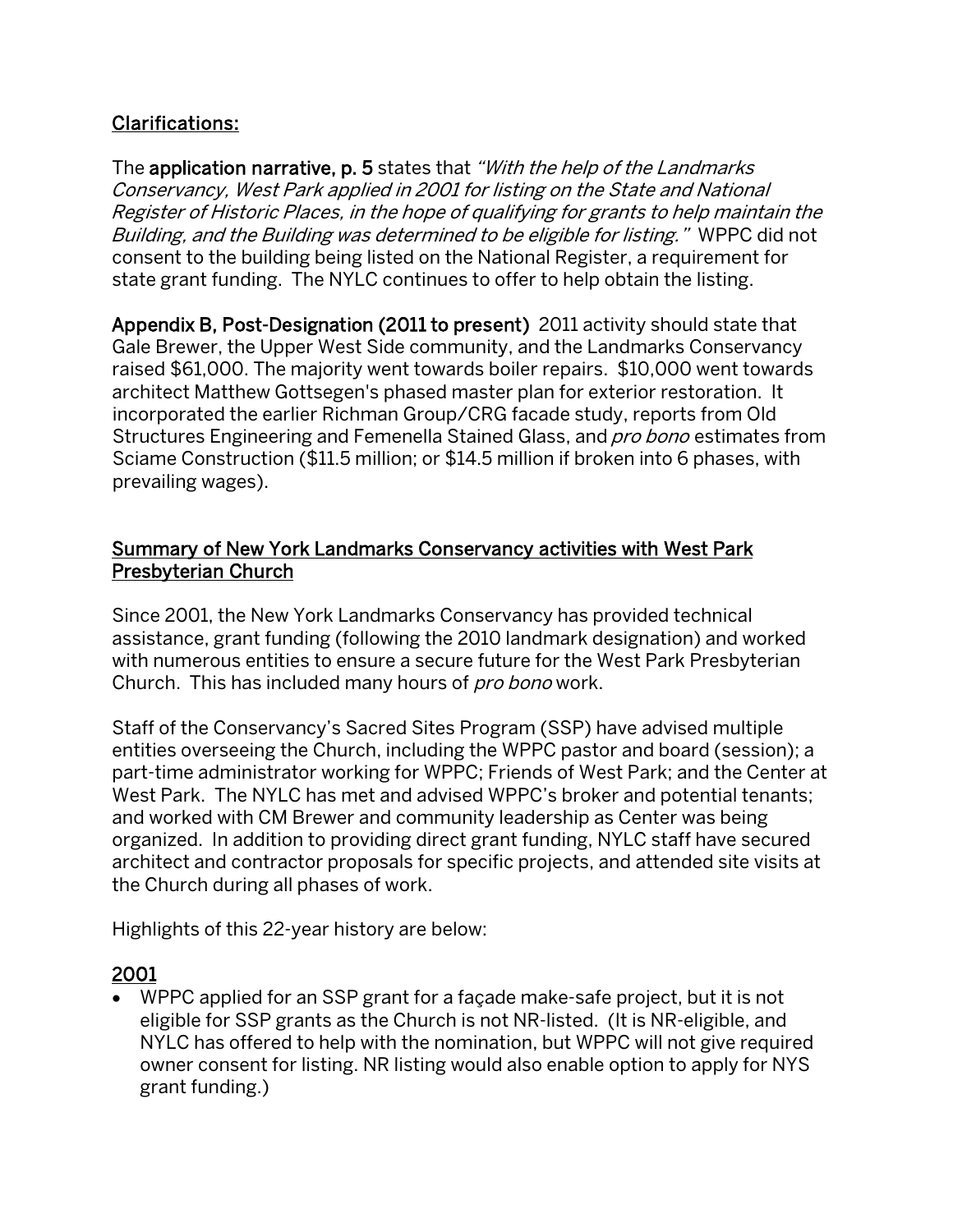#### Clarifications:

The application narrative, p. 5 states that "With the help of the Landmarks" Conservancy, West Park applied in 2001 for listing on the State and National Register of Historic Places, in the hope of qualifying for grants to help maintain the Building, and the Building was determined to be eligible for listing." WPPC did not consent to the building being listed on the National Register, a requirement for state grant funding. The NYLC continues to offer to help obtain the listing.

Appendix B, Post-Designation (2011 to present) 2011 activity should state that Gale Brewer, the Upper West Side community, and the Landmarks Conservancy raised \$61,000. The majority went towards boiler repairs. \$10,000 went towards architect Matthew Gottsegen's phased master plan for exterior restoration. It incorporated the earlier Richman Group/CRG facade study, reports from Old Structures Engineering and Femenella Stained Glass, and *pro bono* estimates from Sciame Construction (\$11.5 million; or \$14.5 million if broken into 6 phases, with prevailing wages).

#### Summary of New York Landmarks Conservancy activities with West Park Presbyterian Church

Since 2001, the New York Landmarks Conservancy has provided technical assistance, grant funding (following the 2010 landmark designation) and worked with numerous entities to ensure a secure future for the West Park Presbyterian Church. This has included many hours of *pro bono* work.

Staff of the Conservancy's Sacred Sites Program (SSP) have advised multiple entities overseeing the Church, including the WPPC pastor and board (session); a part-time administrator working for WPPC; Friends of West Park; and the Center at West Park. The NYLC has met and advised WPPC's broker and potential tenants; and worked with CM Brewer and community leadership as Center was being organized. In addition to providing direct grant funding, NYLC staff have secured architect and contractor proposals for specific projects, and attended site visits at the Church during all phases of work.

Highlights of this 22-year history are below:

#### 2001

• WPPC applied for an SSP grant for a façade make-safe project, but it is not eligible for SSP grants as the Church is not NR-listed. (It is NR-eligible, and NYLC has offered to help with the nomination, but WPPC will not give required owner consent for listing. NR listing would also enable option to apply for NYS grant funding.)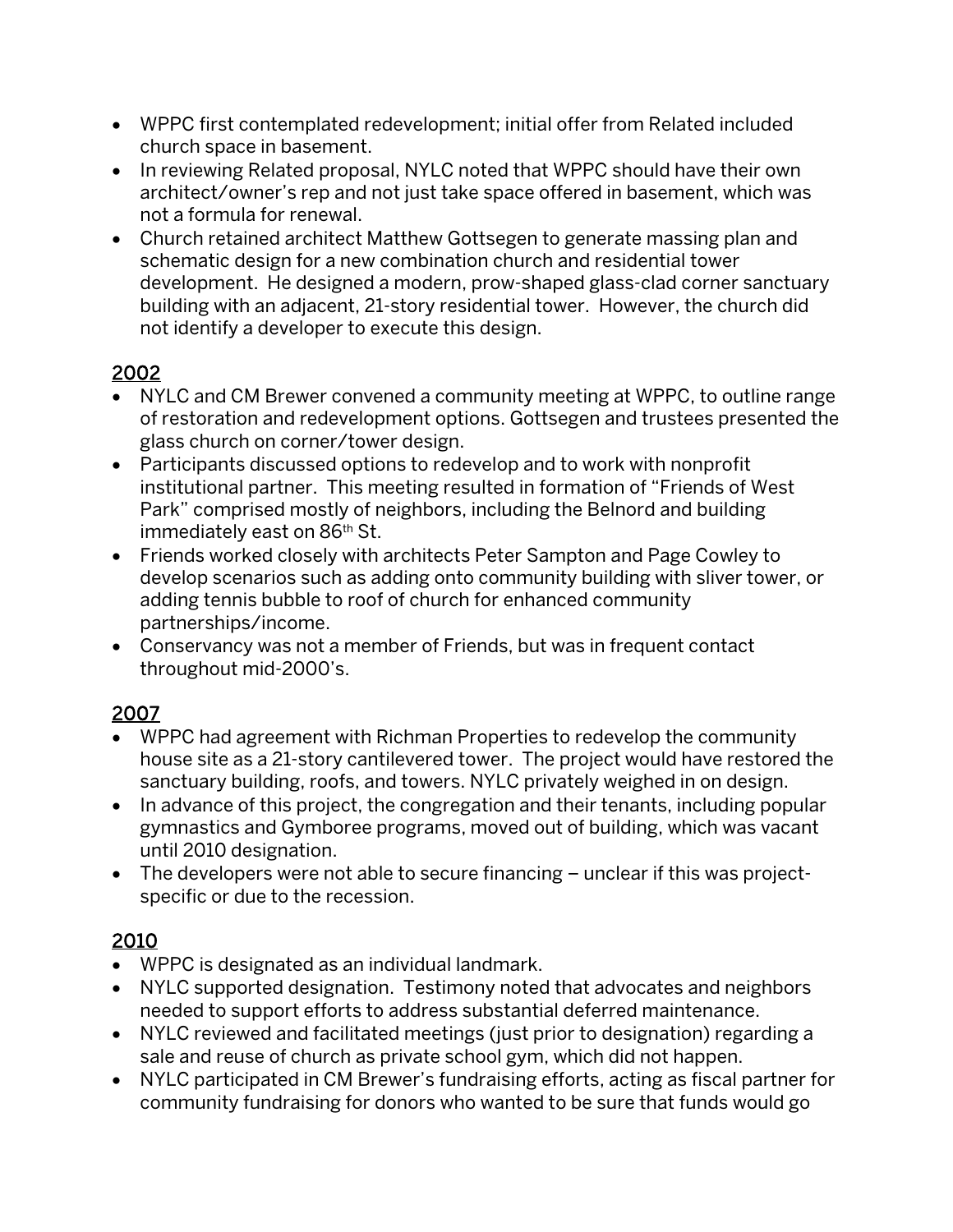- WPPC first contemplated redevelopment; initial offer from Related included church space in basement.
- In reviewing Related proposal, NYLC noted that WPPC should have their own architect/owner's rep and not just take space offered in basement, which was not a formula for renewal.
- Church retained architect Matthew Gottsegen to generate massing plan and schematic design for a new combination church and residential tower development. He designed a modern, prow-shaped glass-clad corner sanctuary building with an adjacent, 21-story residential tower. However, the church did not identify a developer to execute this design.

# 2002

- NYLC and CM Brewer convened a community meeting at WPPC, to outline range of restoration and redevelopment options. Gottsegen and trustees presented the glass church on corner/tower design.
- Participants discussed options to redevelop and to work with nonprofit institutional partner. This meeting resulted in formation of "Friends of West Park" comprised mostly of neighbors, including the Belnord and building immediately east on 86<sup>th</sup> St.
- Friends worked closely with architects Peter Sampton and Page Cowley to develop scenarios such as adding onto community building with sliver tower, or adding tennis bubble to roof of church for enhanced community partnerships/income.
- Conservancy was not a member of Friends, but was in frequent contact throughout mid-2000's.

## 2007

- WPPC had agreement with Richman Properties to redevelop the community house site as a 21-story cantilevered tower. The project would have restored the sanctuary building, roofs, and towers. NYLC privately weighed in on design.
- In advance of this project, the congregation and their tenants, including popular gymnastics and Gymboree programs, moved out of building, which was vacant until 2010 designation.
- The developers were not able to secure financing unclear if this was projectspecific or due to the recession.

## 2010

- WPPC is designated as an individual landmark.
- NYLC supported designation. Testimony noted that advocates and neighbors needed to support efforts to address substantial deferred maintenance.
- NYLC reviewed and facilitated meetings (just prior to designation) regarding a sale and reuse of church as private school gym, which did not happen.
- NYLC participated in CM Brewer's fundraising efforts, acting as fiscal partner for community fundraising for donors who wanted to be sure that funds would go